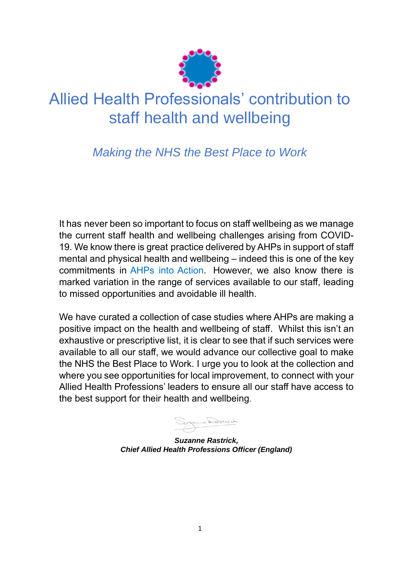

# Allied Health Professionals' contribution to staff health and wellbeing

## *Making the NHS the Best Place to Work*

It has never been so important to focus on staff wellbeing as we manage the current staff health and wellbeing challenges arising from COVID-19. We know there is great practice delivered by AHPs in support of staff mental and physical health and wellbeing – indeed this is one of the key commitments in [AHPs into Action.](https://www.england.nhs.uk/wp-content/uploads/2017/01/ahp-action-transform-hlth.pdf) However, we also know there is marked variation in the range of services available to our staff, leading to missed opportunities and avoidable ill health.

We have curated a collection of case studies where AHPs are making a positive impact on the health and wellbeing of staff. Whilst this isn't an exhaustive or prescriptive list, it is clear to see that if such services were available to all our staff, we would advance our collective goal to make the NHS the Best Place to Work. I urge you to look at the collection and where you see opportunities for local improvement, to connect with your Allied Health Professions' leaders to ensure all our staff have access to the best support for their health and wellbeing.

*Suzanne Rastrick, Chief Allied Health Professions Officer (England)*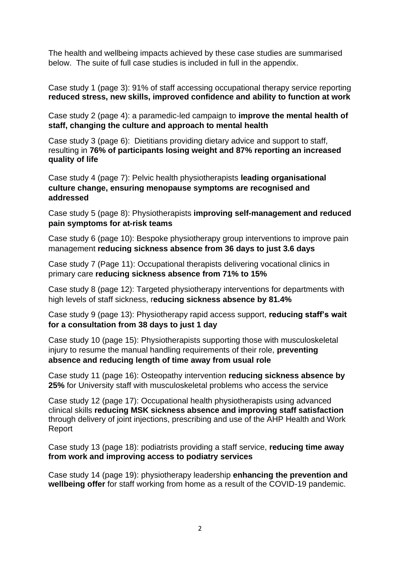The health and wellbeing impacts achieved by these case studies are summarised below. The suite of full case studies is included in full in the appendix.

Case study 1 (page 3): 91% of staff accessing occupational therapy service reporting **reduced stress, new skills, improved confidence and ability to function at work**

Case study 2 (page 4): a paramedic-led campaign to **improve the mental health of staff, changing the culture and approach to mental health**

Case study 3 (page 6): Dietitians providing dietary advice and support to staff, resulting in **76% of participants losing weight and 87% reporting an increased quality of life**

Case study 4 (page 7): Pelvic health physiotherapists **leading organisational culture change, ensuring menopause symptoms are recognised and addressed**

Case study 5 (page 8): Physiotherapists **improving self-management and reduced pain symptoms for at-risk teams** 

Case study 6 (page 10): Bespoke physiotherapy group interventions to improve pain management **reducing sickness absence from 36 days to just 3.6 days**

Case study 7 (Page 11): Occupational therapists delivering vocational clinics in primary care **reducing sickness absence from 71% to 15%**

Case study 8 (page 12): Targeted physiotherapy interventions for departments with high levels of staff sickness, r**educing sickness absence by 81.4%** 

Case study 9 (page 13): Physiotherapy rapid access support, **reducing staff's wait for a consultation from 38 days to just 1 day** 

Case study 10 (page 15): Physiotherapists supporting those with musculoskeletal injury to resume the manual handling requirements of their role, **preventing absence and reducing length of time away from usual role**

Case study 11 (page 16): Osteopathy intervention **reducing sickness absence by 25%** for University staff with musculoskeletal problems who access the service

Case study 12 (page 17): Occupational health physiotherapists using advanced clinical skills **reducing MSK sickness absence and improving staff satisfaction** through delivery of joint injections, prescribing and use of the AHP Health and Work Report

Case study 13 (page 18): podiatrists providing a staff service, **reducing time away from work and improving access to podiatry services**

Case study 14 (page 19): physiotherapy leadership **enhancing the prevention and wellbeing offer** for staff working from home as a result of the COVID-19 pandemic.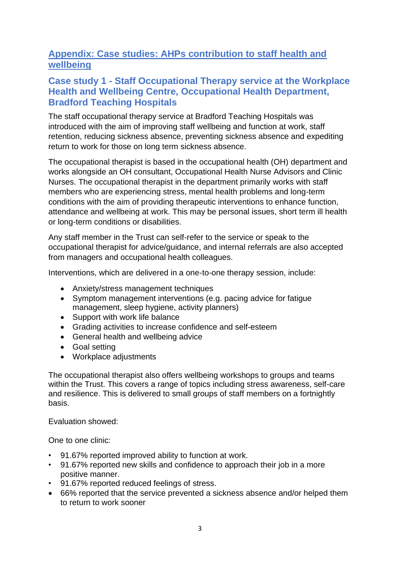## **Appendix: Case studies: AHPs contribution to staff health and wellbeing**

#### **Case study 1 - Staff Occupational Therapy service at the Workplace Health and Wellbeing Centre, Occupational Health Department, Bradford Teaching Hospitals**

The staff occupational therapy service at Bradford Teaching Hospitals was introduced with the aim of improving staff wellbeing and function at work, staff retention, reducing sickness absence, preventing sickness absence and expediting return to work for those on long term sickness absence.

The occupational therapist is based in the occupational health (OH) department and works alongside an OH consultant, Occupational Health Nurse Advisors and Clinic Nurses. The occupational therapist in the department primarily works with staff members who are experiencing stress, mental health problems and long-term conditions with the aim of providing therapeutic interventions to enhance function, attendance and wellbeing at work. This may be personal issues, short term ill health or long-term conditions or disabilities.

Any staff member in the Trust can self-refer to the service or speak to the occupational therapist for advice/guidance, and internal referrals are also accepted from managers and occupational health colleagues.

Interventions, which are delivered in a one-to-one therapy session, include:

- Anxiety/stress management techniques
- Symptom management interventions (e.g. pacing advice for fatigue management, sleep hygiene, activity planners)
- Support with work life balance
- Grading activities to increase confidence and self-esteem
- General health and wellbeing advice
- Goal setting
- Workplace adjustments

The occupational therapist also offers wellbeing workshops to groups and teams within the Trust. This covers a range of topics including stress awareness, self-care and resilience. This is delivered to small groups of staff members on a fortnightly basis.

Evaluation showed:

One to one clinic:

- 91.67% reported improved ability to function at work.
- 91.67% reported new skills and confidence to approach their job in a more positive manner.
- 91.67% reported reduced feelings of stress.
- 66% reported that the service prevented a sickness absence and/or helped them to return to work sooner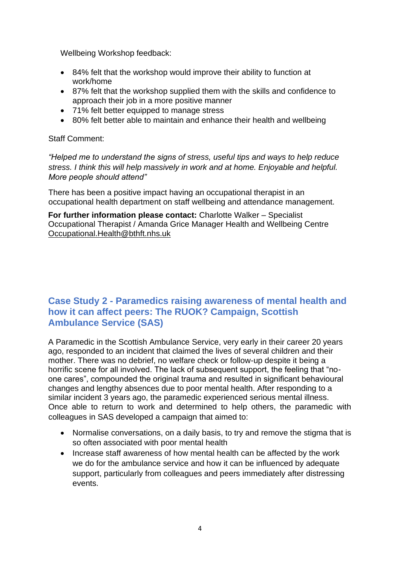Wellbeing Workshop feedback:

- 84% felt that the workshop would improve their ability to function at work/home
- 87% felt that the workshop supplied them with the skills and confidence to approach their job in a more positive manner
- 71% felt better equipped to manage stress
- 80% felt better able to maintain and enhance their health and wellbeing

Staff Comment:

*"Helped me to understand the signs of stress, useful tips and ways to help reduce stress. I think this will help massively in work and at home. Enjoyable and helpful. More people should attend"*

There has been a positive impact having an occupational therapist in an occupational health department on staff wellbeing and attendance management.

**For further information please contact:** Charlotte Walker – Specialist Occupational Therapist / Amanda Grice Manager Health and Wellbeing Centre [Occupational.Health@bthft.nhs.uk](mailto:Occupational.Health@bthft.nhs.uk)

#### **Case Study 2 - Paramedics raising awareness of mental health and how it can affect peers: The RUOK? Campaign, Scottish Ambulance Service (SAS)**

A Paramedic in the Scottish Ambulance Service, very early in their career 20 years ago, responded to an incident that claimed the lives of several children and their mother. There was no debrief, no welfare check or follow-up despite it being a horrific scene for all involved. The lack of subsequent support, the feeling that "noone cares", compounded the original trauma and resulted in significant behavioural changes and lengthy absences due to poor mental health. After responding to a similar incident 3 years ago, the paramedic experienced serious mental illness. Once able to return to work and determined to help others, the paramedic with colleagues in SAS developed a campaign that aimed to:

- Normalise conversations, on a daily basis, to try and remove the stigma that is so often associated with poor mental health
- Increase staff awareness of how mental health can be affected by the work we do for the ambulance service and how it can be influenced by adequate support, particularly from colleagues and peers immediately after distressing events.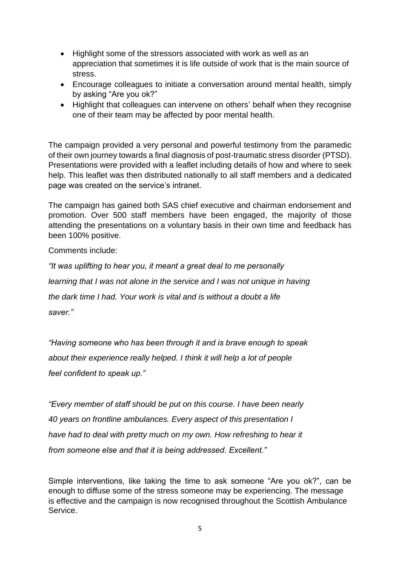- Highlight some of the stressors associated with work as well as an appreciation that sometimes it is life outside of work that is the main source of stress.
- Encourage colleagues to initiate a conversation around mental health, simply by asking "Are you ok?"
- Highlight that colleagues can intervene on others' behalf when they recognise one of their team may be affected by poor mental health.

The campaign provided a very personal and powerful testimony from the paramedic of their own journey towards a final diagnosis of post-traumatic stress disorder (PTSD). Presentations were provided with a leaflet including details of how and where to seek help. This leaflet was then distributed nationally to all staff members and a dedicated page was created on the service's intranet.

The campaign has gained both SAS chief executive and chairman endorsement and promotion. Over 500 staff members have been engaged, the majority of those attending the presentations on a voluntary basis in their own time and feedback has been 100% positive.

Comments include:

*"It was uplifting to hear you, it meant a great deal to me personally learning that I was not alone in the service and I was not unique in having the dark time I had. Your work is vital and is without a doubt a life saver."*

*"Having someone who has been through it and is brave enough to speak about their experience really helped. I think it will help a lot of people feel confident to speak up."*

*"Every member of staff should be put on this course. I have been nearly 40 years on frontline ambulances. Every aspect of this presentation I have had to deal with pretty much on my own. How refreshing to hear it from someone else and that it is being addressed. Excellent."*

Simple interventions, like taking the time to ask someone "Are you ok?", can be enough to diffuse some of the stress someone may be experiencing. The message is effective and the campaign is now recognised throughout the Scottish Ambulance Service.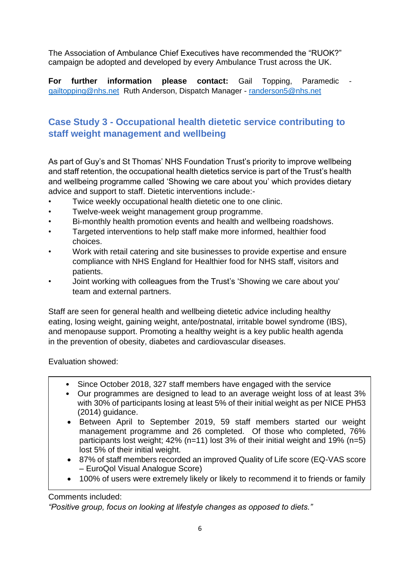The Association of Ambulance Chief Executives have recommended the "RUOK?" campaign be adopted and developed by every Ambulance Trust across the UK.

**For further information please contact:** Gail Topping, Paramedic [gailtopping@nhs.net](mailto:gailtopping@nhs.net) Ruth Anderson, Dispatch Manager - [randerson5@nhs.net](mailto:randerson5@nhs.net)

## **Case Study 3 - Occupational health dietetic service contributing to staff weight management and wellbeing**

As part of Guy's and St Thomas' NHS Foundation Trust's priority to improve wellbeing and staff retention, the occupational health dietetics service is part of the Trust's health and wellbeing programme called 'Showing we care about you' which provides dietary advice and support to staff. Dietetic interventions include:-

- Twice weekly occupational health dietetic one to one clinic.
- Twelve-week weight management group programme.
- Bi-monthly health promotion events and health and wellbeing roadshows.
- Targeted interventions to help staff make more informed, healthier food choices.
- Work with retail catering and site businesses to provide expertise and ensure compliance with NHS England for Healthier food for NHS staff, visitors and patients.
- Joint working with colleagues from the Trust's 'Showing we care about you' team and external partners.

Staff are seen for general health and wellbeing dietetic advice including healthy eating, losing weight, gaining weight, ante/postnatal, irritable bowel syndrome (IBS), and menopause support. Promoting a healthy weight is a key public health agenda in the prevention of obesity, diabetes and cardiovascular diseases.

Evaluation showed:

- Since October 2018, 327 staff members have engaged with the service
- Our programmes are designed to lead to an average weight loss of at least 3% with 30% of participants losing at least 5% of their initial weight as per NICE PH53 (2014) guidance.
- Between April to September 2019, 59 staff members started our weight management programme and 26 completed. Of those who completed, 76% participants lost weight; 42% (n=11) lost 3% of their initial weight and 19% (n=5) lost 5% of their initial weight.
- 87% of staff members recorded an improved Quality of Life score (EQ-VAS score – EuroQol Visual Analogue Score)
- 100% of users were extremely likely or likely to recommend it to friends or family

#### Comments included:

*"Positive group, focus on looking at lifestyle changes as opposed to diets."*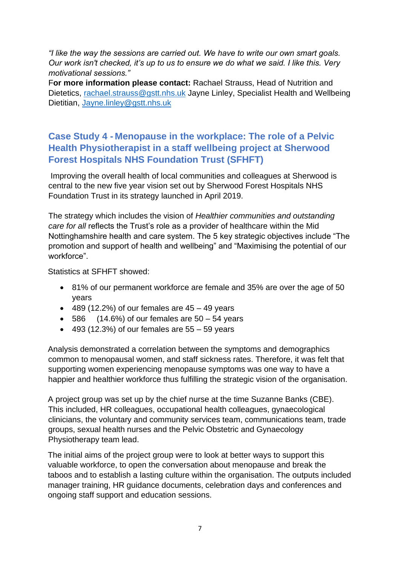*"I like the way the sessions are carried out. We have to write our own smart goals. Our work isn't checked, it's up to us to ensure we do what we said. I like this. Very motivational sessions."*

F**or more information please contact:** Rachael Strauss, Head of Nutrition and Dietetics, [rachael.strauss@gstt.nhs.uk](mailto:rachael.strauss@gstt.nhs.uk) Jayne Linley, Specialist Health and Wellbeing Dietitian, [Jayne.linley@gstt.nhs.uk](mailto:Jayne.linley@gstt.nhs.uk)

## **Case Study 4 - Menopause in the workplace: The role of a Pelvic Health Physiotherapist in a staff wellbeing project at Sherwood Forest Hospitals NHS Foundation Trust (SFHFT)**

Improving the overall health of local communities and colleagues at Sherwood is central to the new five year vision set out by Sherwood Forest Hospitals NHS Foundation Trust in its strategy launched in April 2019.

The strategy which includes the vision of *Healthier communities and outstanding care for all* reflects the Trust's role as a provider of healthcare within the Mid Nottinghamshire health and care system. The 5 key strategic objectives include "The promotion and support of health and wellbeing" and "Maximising the potential of our workforce".

Statistics at SFHFT showed:

- 81% of our permanent workforce are female and 35% are over the age of 50 years
- $\bullet$  489 (12.2%) of our females are 45 49 years
- $\bullet$  586 (14.6%) of our females are 50 54 years
- $\bullet$  493 (12.3%) of our females are 55 59 years

Analysis demonstrated a correlation between the symptoms and demographics common to menopausal women, and staff sickness rates. Therefore, it was felt that supporting women experiencing menopause symptoms was one way to have a happier and healthier workforce thus fulfilling the strategic vision of the organisation.

A project group was set up by the chief nurse at the time Suzanne Banks (CBE). This included, HR colleagues, occupational health colleagues, gynaecological clinicians, the voluntary and community services team, communications team, trade groups, sexual health nurses and the Pelvic Obstetric and Gynaecology Physiotherapy team lead.

The initial aims of the project group were to look at better ways to support this valuable workforce, to open the conversation about menopause and break the taboos and to establish a lasting culture within the organisation. The outputs included manager training, HR guidance documents, celebration days and conferences and ongoing staff support and education sessions.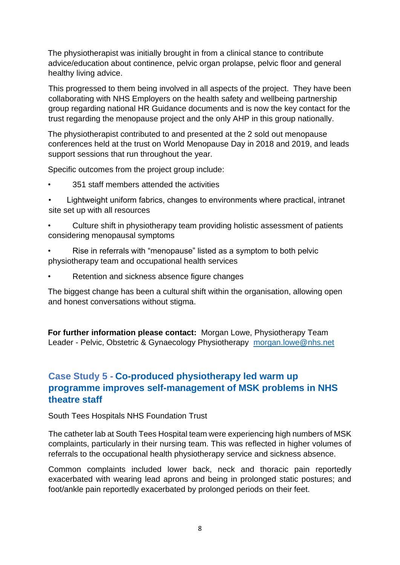The physiotherapist was initially brought in from a clinical stance to contribute advice/education about continence, pelvic organ prolapse, pelvic floor and general healthy living advice.

This progressed to them being involved in all aspects of the project. They have been collaborating with NHS Employers on the health safety and wellbeing partnership group regarding national HR Guidance documents and is now the key contact for the trust regarding the menopause project and the only AHP in this group nationally.

The physiotherapist contributed to and presented at the 2 sold out menopause conferences held at the trust on World Menopause Day in 2018 and 2019, and leads support sessions that run throughout the year.

Specific outcomes from the project group include:

- 351 staff members attended the activities
- Lightweight uniform fabrics, changes to environments where practical, intranet site set up with all resources
- Culture shift in physiotherapy team providing holistic assessment of patients considering menopausal symptoms
- Rise in referrals with "menopause" listed as a symptom to both pelvic physiotherapy team and occupational health services
- Retention and sickness absence figure changes

The biggest change has been a cultural shift within the organisation, allowing open and honest conversations without stigma.

**For further information please contact:** Morgan Lowe, Physiotherapy Team Leader - Pelvic, Obstetric & Gynaecology Physiotherapy [morgan.lowe@nhs.net](mailto:morgan.lowe@nhs.net)

## **Case Study 5 - Co-produced physiotherapy led warm up programme improves self-management of MSK problems in NHS theatre staff**

South Tees Hospitals NHS Foundation Trust

The catheter lab at South Tees Hospital team were experiencing high numbers of MSK complaints, particularly in their nursing team. This was reflected in higher volumes of referrals to the occupational health physiotherapy service and sickness absence.

Common complaints included lower back, neck and thoracic pain reportedly exacerbated with wearing lead aprons and being in prolonged static postures; and foot/ankle pain reportedly exacerbated by prolonged periods on their feet.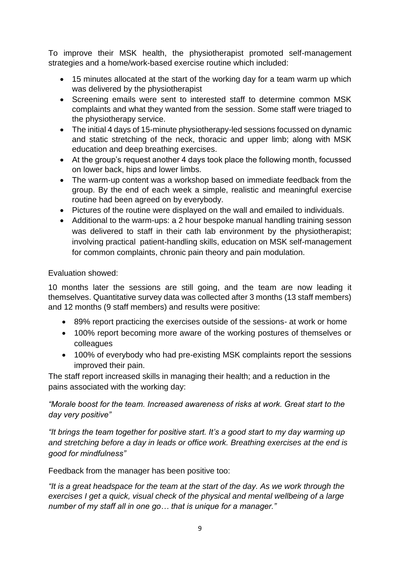To improve their MSK health, the physiotherapist promoted self-management strategies and a home/work-based exercise routine which included:

- 15 minutes allocated at the start of the working day for a team warm up which was delivered by the physiotherapist
- Screening emails were sent to interested staff to determine common MSK complaints and what they wanted from the session. Some staff were triaged to the physiotherapy service.
- The initial 4 days of 15-minute physiotherapy-led sessions focussed on dynamic and static stretching of the neck, thoracic and upper limb; along with MSK education and deep breathing exercises.
- At the group's request another 4 days took place the following month, focussed on lower back, hips and lower limbs.
- The warm-up content was a workshop based on immediate feedback from the group. By the end of each week a simple, realistic and meaningful exercise routine had been agreed on by everybody.
- Pictures of the routine were displayed on the wall and emailed to individuals.
- Additional to the warm-ups: a 2 hour bespoke manual handling training sesson was delivered to staff in their cath lab environment by the physiotherapist; involving practical patient-handling skills, education on MSK self-management for common complaints, chronic pain theory and pain modulation.

#### Evaluation showed:

10 months later the sessions are still going, and the team are now leading it themselves. Quantitative survey data was collected after 3 months (13 staff members) and 12 months (9 staff members) and results were positive:

- 89% report practicing the exercises outside of the sessions- at work or home
- 100% report becoming more aware of the working postures of themselves or colleagues
- 100% of everybody who had pre-existing MSK complaints report the sessions improved their pain.

The staff report increased skills in managing their health; and a reduction in the pains associated with the working day:

*"Morale boost for the team. Increased awareness of risks at work. Great start to the day very positive"*

*"It brings the team together for positive start. It's a good start to my day warming up and stretching before a day in leads or office work. Breathing exercises at the end is good for mindfulness"* 

Feedback from the manager has been positive too:

*"It is a great headspace for the team at the start of the day. As we work through the exercises I get a quick, visual check of the physical and mental wellbeing of a large number of my staff all in one go… that is unique for a manager."*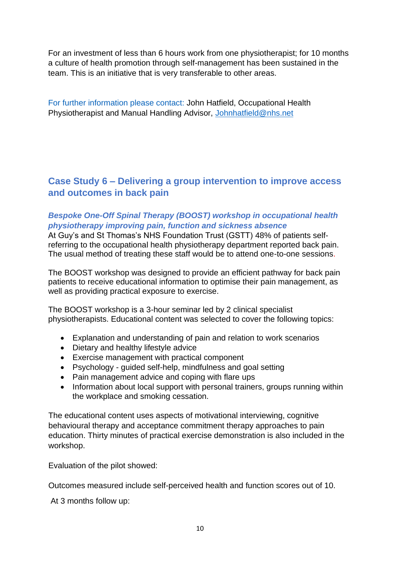For an investment of less than 6 hours work from one physiotherapist; for 10 months a culture of health promotion through self-management has been sustained in the team. This is an initiative that is very transferable to other areas.

For further information please contact: John Hatfield, Occupational Health Physiotherapist and Manual Handling Advisor, [Johnhatfield@nhs.net](mailto:Johnhatfield@nhs.net)

## **Case Study 6 – Delivering a group intervention to improve access and outcomes in back pain**

#### *Bespoke One-Off Spinal Therapy (BOOST) workshop in occupational health physiotherapy improving pain, function and sickness absence*

At Guy's and St Thomas's NHS Foundation Trust (GSTT) 48% of patients selfreferring to the occupational health physiotherapy department reported back pain. The usual method of treating these staff would be to attend one-to-one sessions.

The BOOST workshop was designed to provide an efficient pathway for back pain patients to receive educational information to optimise their pain management, as well as providing practical exposure to exercise.

The BOOST workshop is a 3-hour seminar led by 2 clinical specialist physiotherapists. Educational content was selected to cover the following topics:

- Explanation and understanding of pain and relation to work scenarios
- Dietary and healthy lifestyle advice
- Exercise management with practical component
- Psychology guided self-help, mindfulness and goal setting
- Pain management advice and coping with flare ups
- Information about local support with personal trainers, groups running within the workplace and smoking cessation.

The educational content uses aspects of motivational interviewing, cognitive behavioural therapy and acceptance commitment therapy approaches to pain education. Thirty minutes of practical exercise demonstration is also included in the workshop.

Evaluation of the pilot showed:

Outcomes measured include self-perceived health and function scores out of 10.

At 3 months follow up: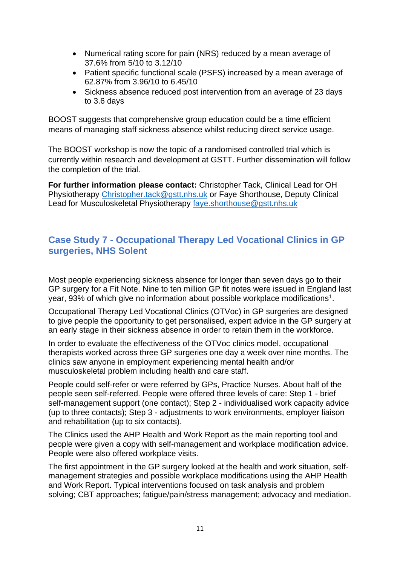- Numerical rating score for pain (NRS) reduced by a mean average of 37.6% from 5/10 to 3.12/10
- Patient specific functional scale (PSFS) increased by a mean average of 62.87% from 3.96/10 to 6.45/10
- Sickness absence reduced post intervention from an average of 23 days to 3.6 days

BOOST suggests that comprehensive group education could be a time efficient means of managing staff sickness absence whilst reducing direct service usage.

The BOOST workshop is now the topic of a randomised controlled trial which is currently within research and development at GSTT. Further dissemination will follow the completion of the trial.

**For further information please contact:** Christopher Tack, Clinical Lead for OH Physiotherapy [Christopher.tack@gstt.nhs.uk](mailto:Christopher.tack@gstt.nhs.uk) or Faye Shorthouse, Deputy Clinical Lead for Musculoskeletal Physiotherapy [faye.shorthouse@gstt.nhs.uk](mailto:faye.shorthouse@gstt.nhs.uk)

#### **Case Study 7 - Occupational Therapy Led Vocational Clinics in GP surgeries, NHS Solent**

Most people experiencing sickness absence for longer than seven days go to their GP surgery for a Fit Note. Nine to ten million GP fit notes were issued in England last year, 93% of which give no information about possible workplace modifications<sup>1</sup>.

Occupational Therapy Led Vocational Clinics (OTVoc) in GP surgeries are designed to give people the opportunity to get personalised, expert advice in the GP surgery at an early stage in their sickness absence in order to retain them in the workforce.

In order to evaluate the effectiveness of the OTVoc clinics model, occupational therapists worked across three GP surgeries one day a week over nine months. The clinics saw anyone in employment experiencing mental health and/or musculoskeletal problem including health and care staff.

People could self-refer or were referred by GPs, Practice Nurses. About half of the people seen self-referred. People were offered three levels of care: Step 1 - brief self-management support (one contact); Step 2 - individualised work capacity advice (up to three contacts); Step 3 - adjustments to work environments, employer liaison and rehabilitation (up to six contacts).

The Clinics used the AHP Health and Work Report as the main reporting tool and people were given a copy with self-management and workplace modification advice. People were also offered workplace visits.

The first appointment in the GP surgery looked at the health and work situation, selfmanagement strategies and possible workplace modifications using the AHP Health and Work Report. Typical interventions focused on task analysis and problem solving; CBT approaches; fatigue/pain/stress management; advocacy and mediation.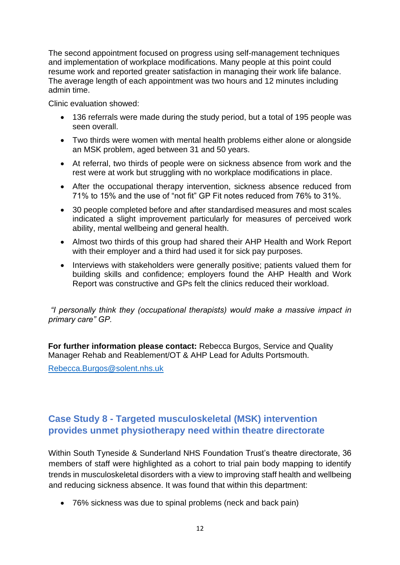The second appointment focused on progress using self-management techniques and implementation of workplace modifications. Many people at this point could resume work and reported greater satisfaction in managing their work life balance. The average length of each appointment was two hours and 12 minutes including admin time.

Clinic evaluation showed:

- 136 referrals were made during the study period, but a total of 195 people was seen overall.
- Two thirds were women with mental health problems either alone or alongside an MSK problem, aged between 31 and 50 years.
- At referral, two thirds of people were on sickness absence from work and the rest were at work but struggling with no workplace modifications in place.
- After the occupational therapy intervention, sickness absence reduced from 71% to 15% and the use of "not fit" GP Fit notes reduced from 76% to 31%.
- 30 people completed before and after standardised measures and most scales indicated a slight improvement particularly for measures of perceived work ability, mental wellbeing and general health.
- Almost two thirds of this group had shared their AHP Health and Work Report with their employer and a third had used it for sick pay purposes.
- Interviews with stakeholders were generally positive; patients valued them for building skills and confidence; employers found the AHP Health and Work Report was constructive and GPs felt the clinics reduced their workload.

*"I personally think they (occupational therapists) would make a massive impact in primary care" GP.*

**For further information please contact:** Rebecca Burgos, Service and Quality Manager Rehab and Reablement/OT & AHP Lead for Adults Portsmouth.

[Rebecca.Burgos@solent.nhs.uk](mailto:Rebecca.Burgos@solent.nhs.uk)

## **Case Study 8 - Targeted musculoskeletal (MSK) intervention provides unmet physiotherapy need within theatre directorate**

Within South Tyneside & Sunderland NHS Foundation Trust's theatre directorate, 36 members of staff were highlighted as a cohort to trial pain body mapping to identify trends in musculoskeletal disorders with a view to improving staff health and wellbeing and reducing sickness absence. It was found that within this department:

• 76% sickness was due to spinal problems (neck and back pain)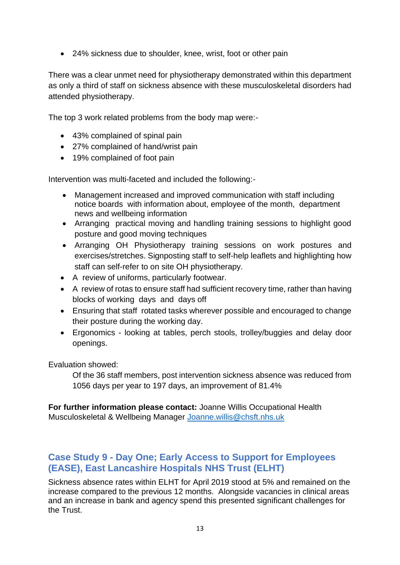• 24% sickness due to shoulder, knee, wrist, foot or other pain

There was a clear unmet need for physiotherapy demonstrated within this department as only a third of staff on sickness absence with these musculoskeletal disorders had attended physiotherapy.

The top 3 work related problems from the body map were:-

- 43% complained of spinal pain
- 27% complained of hand/wrist pain
- 19% complained of foot pain

Intervention was multi-faceted and included the following:-

- Management increased and improved communication with staff including notice boards with information about, employee of the month, department news and wellbeing information
- Arranging practical moving and handling training sessions to highlight good posture and good moving techniques
- Arranging OH Physiotherapy training sessions on work postures and exercises/stretches. Signposting staff to self-help leaflets and highlighting how staff can self-refer to on site OH physiotherapy.
- A review of uniforms, particularly footwear.
- A review of rotas to ensure staff had sufficient recovery time, rather than having blocks of working days and days off
- Ensuring that staff rotated tasks wherever possible and encouraged to change their posture during the working day.
- Ergonomics looking at tables, perch stools, trolley/buggies and delay door openings.

Evaluation showed:

Of the 36 staff members, post intervention sickness absence was reduced from 1056 days per year to 197 days, an improvement of 81.4%

**For further information please contact:** Joanne Willis Occupational Health Musculoskeletal & Wellbeing Manager [Joanne.willis@chsft.nhs.uk](mailto:Joanne.willis@chsft.nhs.uk)

## **Case Study 9 - Day One; Early Access to Support for Employees (EASE), East Lancashire Hospitals NHS Trust (ELHT)**

Sickness absence rates within ELHT for April 2019 stood at 5% and remained on the increase compared to the previous 12 months. Alongside vacancies in clinical areas and an increase in bank and agency spend this presented significant challenges for the Trust.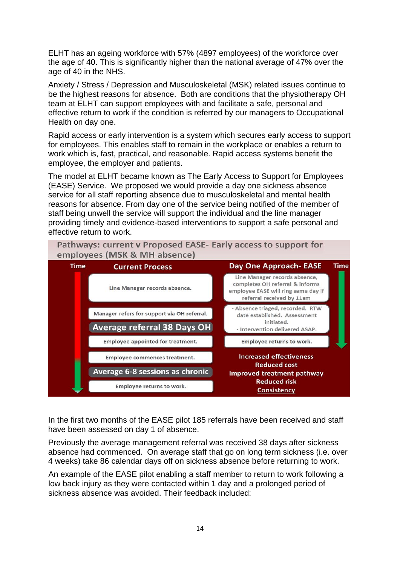ELHT has an ageing workforce with 57% (4897 employees) of the workforce over the age of 40. This is significantly higher than the national average of 47% over the age of 40 in the NHS.

Anxiety / Stress / Depression and Musculoskeletal (MSK) related issues continue to be the highest reasons for absence. Both are conditions that the physiotherapy OH team at ELHT can support employees with and facilitate a safe, personal and effective return to work if the condition is referred by our managers to Occupational Health on day one.

Rapid access or early intervention is a system which secures early access to support for employees. This enables staff to remain in the workplace or enables a return to work which is, fast, practical, and reasonable. Rapid access systems benefit the employee, the employer and patients.

The model at ELHT became known as The Early Access to Support for Employees (EASE) Service. We proposed we would provide a day one sickness absence service for all staff reporting absence due to musculoskeletal and mental health reasons for absence. From day one of the service being notified of the member of staff being unwell the service will support the individual and the line manager providing timely and evidence-based interventions to support a safe personal and effective return to work.



In the first two months of the EASE pilot 185 referrals have been received and staff have been assessed on day 1 of absence.

Previously the average management referral was received 38 days after sickness absence had commenced. On average staff that go on long term sickness (i.e. over 4 weeks) take 86 calendar days off on sickness absence before returning to work.

An example of the EASE pilot enabling a staff member to return to work following a low back injury as they were contacted within 1 day and a prolonged period of sickness absence was avoided. Their feedback included: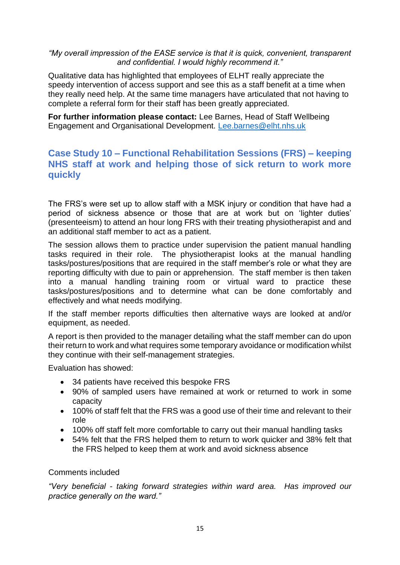#### *"My overall impression of the EASE service is that it is quick, convenient, transparent and confidential. I would highly recommend it."*

Qualitative data has highlighted that employees of ELHT really appreciate the speedy intervention of access support and see this as a staff benefit at a time when they really need help. At the same time managers have articulated that not having to complete a referral form for their staff has been greatly appreciated.

**For further information please contact:** Lee Barnes, Head of Staff Wellbeing Engagement and Organisational Development. [Lee.barnes@elht.nhs.uk](mailto:Lee.barnes@elht.nhs.uk)

## **Case Study 10 – Functional Rehabilitation Sessions (FRS) – keeping NHS staff at work and helping those of sick return to work more quickly**

The FRS's were set up to allow staff with a MSK injury or condition that have had a period of sickness absence or those that are at work but on 'lighter duties' (presenteeism) to attend an hour long FRS with their treating physiotherapist and and an additional staff member to act as a patient.

The session allows them to practice under supervision the patient manual handling tasks required in their role. The physiotherapist looks at the manual handling tasks/postures/positions that are required in the staff member's role or what they are reporting difficulty with due to pain or apprehension. The staff member is then taken into a manual handling training room or virtual ward to practice these tasks/postures/positions and to determine what can be done comfortably and effectively and what needs modifying.

If the staff member reports difficulties then alternative ways are looked at and/or equipment, as needed.

A report is then provided to the manager detailing what the staff member can do upon their return to work and what requires some temporary avoidance or modification whilst they continue with their self-management strategies.

Evaluation has showed:

- 34 patients have received this bespoke FRS
- 90% of sampled users have remained at work or returned to work in some capacity
- 100% of staff felt that the FRS was a good use of their time and relevant to their role
- 100% off staff felt more comfortable to carry out their manual handling tasks
- 54% felt that the FRS helped them to return to work quicker and 38% felt that the FRS helped to keep them at work and avoid sickness absence

#### Comments included

*"Very beneficial - taking forward strategies within ward area. Has improved our practice generally on the ward."*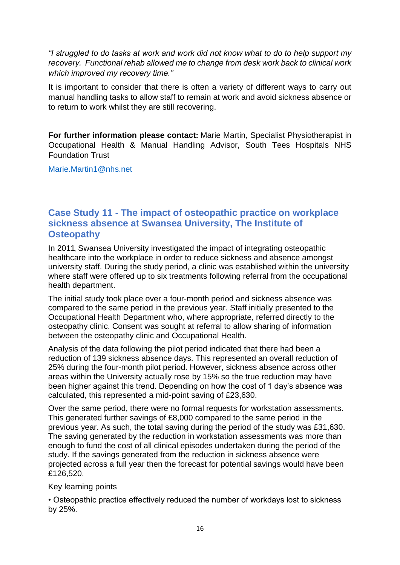*"I struggled to do tasks at work and work did not know what to do to help support my recovery. Functional rehab allowed me to change from desk work back to clinical work which improved my recovery time."*

It is important to consider that there is often a variety of different ways to carry out manual handling tasks to allow staff to remain at work and avoid sickness absence or to return to work whilst they are still recovering.

**For further information please contact:** Marie Martin, Specialist Physiotherapist in Occupational Health & Manual Handling Advisor, South Tees Hospitals NHS Foundation Trust

[Marie.Martin1@nhs.net](mailto:Marie.Martin1@nhs.net)

#### **Case Study 11 - The impact of osteopathic practice on workplace sickness absence at Swansea University, The Institute of Osteopathy**

In 2011, Swansea University investigated the impact of integrating osteopathic healthcare into the workplace in order to reduce sickness and absence amongst university staff. During the study period, a clinic was established within the university where staff were offered up to six treatments following referral from the occupational health department.

The initial study took place over a four-month period and sickness absence was compared to the same period in the previous year. Staff initially presented to the Occupational Health Department who, where appropriate, referred directly to the osteopathy clinic. Consent was sought at referral to allow sharing of information between the osteopathy clinic and Occupational Health.

Analysis of the data following the pilot period indicated that there had been a reduction of 139 sickness absence days. This represented an overall reduction of 25% during the four-month pilot period. However, sickness absence across other areas within the University actually rose by 15% so the true reduction may have been higher against this trend. Depending on how the cost of 1 day's absence was calculated, this represented a mid-point saving of £23,630.

Over the same period, there were no formal requests for workstation assessments. This generated further savings of £8,000 compared to the same period in the previous year. As such, the total saving during the period of the study was £31,630. The saving generated by the reduction in workstation assessments was more than enough to fund the cost of all clinical episodes undertaken during the period of the study. If the savings generated from the reduction in sickness absence were projected across a full year then the forecast for potential savings would have been £126,520.

#### Key learning points

• Osteopathic practice effectively reduced the number of workdays lost to sickness by 25%.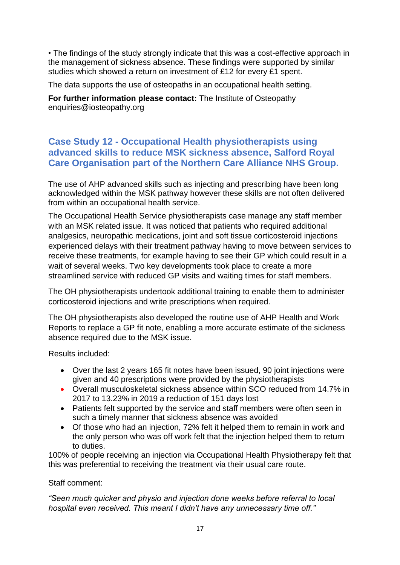• The findings of the study strongly indicate that this was a cost-effective approach in the management of sickness absence. These findings were supported by similar studies which showed a return on investment of £12 for every £1 spent.

The data supports the use of osteopaths in an occupational health setting.

**For further information please contact:** The Institute of Osteopathy enquiries@iosteopathy.org

### **Case Study 12 - Occupational Health physiotherapists using advanced skills to reduce MSK sickness absence, Salford Royal Care Organisation part of the Northern Care Alliance NHS Group.**

The use of AHP advanced skills such as injecting and prescribing have been long acknowledged within the MSK pathway however these skills are not often delivered from within an occupational health service.

The Occupational Health Service physiotherapists case manage any staff member with an MSK related issue. It was noticed that patients who required additional analgesics, neuropathic medications, joint and soft tissue corticosteroid injections experienced delays with their treatment pathway having to move between services to receive these treatments, for example having to see their GP which could result in a wait of several weeks. Two key developments took place to create a more streamlined service with reduced GP visits and waiting times for staff members.

The OH physiotherapists undertook additional training to enable them to administer corticosteroid injections and write prescriptions when required.

The OH physiotherapists also developed the routine use of AHP Health and Work Reports to replace a GP fit note, enabling a more accurate estimate of the sickness absence required due to the MSK issue.

Results included:

- Over the last 2 years 165 fit notes have been issued, 90 joint injections were given and 40 prescriptions were provided by the physiotherapists
- Overall musculoskeletal sickness absence within SCO reduced from 14.7% in 2017 to 13.23% in 2019 a reduction of 151 days lost
- Patients felt supported by the service and staff members were often seen in such a timely manner that sickness absence was avoided
- Of those who had an injection, 72% felt it helped them to remain in work and the only person who was off work felt that the injection helped them to return to duties.

100% of people receiving an injection via Occupational Health Physiotherapy felt that this was preferential to receiving the treatment via their usual care route.

#### Staff comment:

*"Seen much quicker and physio and injection done weeks before referral to local hospital even received. This meant I didn't have any unnecessary time off."*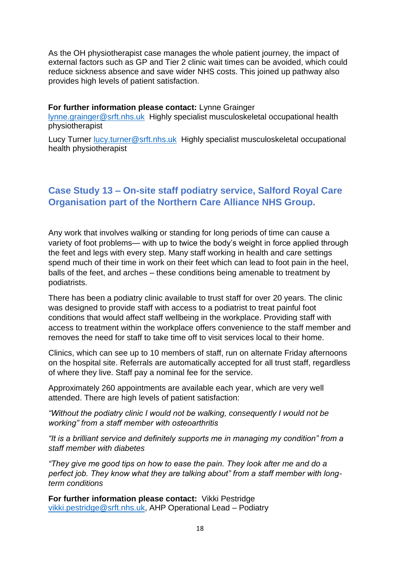As the OH physiotherapist case manages the whole patient journey, the impact of external factors such as GP and Tier 2 clinic wait times can be avoided, which could reduce sickness absence and save wider NHS costs. This joined up pathway also provides high levels of patient satisfaction.

#### **For further information please contact:** Lynne Grainger

[lynne.grainger@srft.nhs.uk](mailto:lynne.grainger@srft.nhs.uk) Highly specialist musculoskeletal occupational health physiotherapist

Lucy Turner [lucy.turner@srft.nhs.uk](mailto:lucy.turner@srft.nhs.uk) Highly specialist musculoskeletal occupational health physiotherapist

## **Case Study 13 – On-site staff podiatry service, Salford Royal Care Organisation part of the Northern Care Alliance NHS Group.**

Any work that involves walking or standing for long periods of time can cause a variety of foot problems— with up to twice the body's weight in force applied through the feet and legs with every step. Many staff working in health and care settings spend much of their time in work on their feet which can lead to foot pain in the heel, balls of the feet, and arches – these conditions being amenable to treatment by podiatrists.

There has been a podiatry clinic available to trust staff for over 20 years. The clinic was designed to provide staff with access to a podiatrist to treat painful foot conditions that would affect staff wellbeing in the workplace. Providing staff with access to treatment within the workplace offers convenience to the staff member and removes the need for staff to take time off to visit services local to their home.

Clinics, which can see up to 10 members of staff, run on alternate Friday afternoons on the hospital site. Referrals are automatically accepted for all trust staff, regardless of where they live. Staff pay a nominal fee for the service.

Approximately 260 appointments are available each year, which are very well attended. There are high levels of patient satisfaction:

*"Without the podiatry clinic I would not be walking, consequently I would not be working" from a staff member with osteoarthritis*

*"It is a brilliant service and definitely supports me in managing my condition" from a staff member with diabetes*

*"They give me good tips on how to ease the pain. They look after me and do a perfect job. They know what they are talking about" from a staff member with longterm conditions*

**For further information please contact:** Vikki Pestridge [vikki.pestridge@srft.nhs.uk,](mailto:vikki.pestridge@srft.nhs.uk) AHP Operational Lead – Podiatry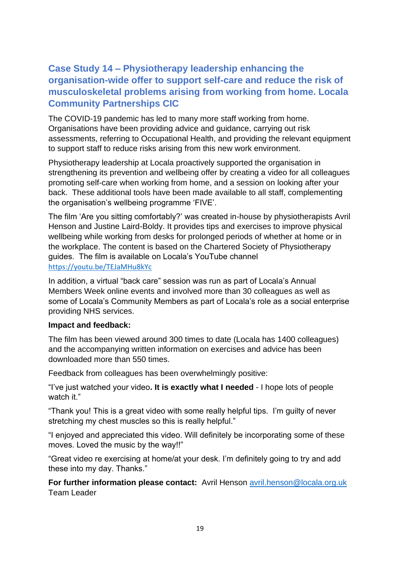## **Case Study 14 – Physiotherapy leadership enhancing the organisation-wide offer to support self-care and reduce the risk of musculoskeletal problems arising from working from home. Locala Community Partnerships CIC**

The COVID-19 pandemic has led to many more staff working from home. Organisations have been providing advice and guidance, carrying out risk assessments, referring to Occupational Health, and providing the relevant equipment to support staff to reduce risks arising from this new work environment.

Physiotherapy leadership at Locala proactively supported the organisation in strengthening its prevention and wellbeing offer by creating a video for all colleagues promoting self-care when working from home, and a session on looking after your back. These additional tools have been made available to all staff, complementing the organisation's wellbeing programme 'FIVE'.

The film 'Are you sitting comfortably?' was created in-house by physiotherapists Avril Henson and Justine Laird-Boldy. It provides tips and exercises to improve physical wellbeing while working from desks for prolonged periods of whether at home or in the workplace. The content is based on the Chartered Society of Physiotherapy guides. The film is available on Locala's YouTube channel [https://youtu.be/TEJaMHu8kYc](https://eur02.safelinks.protection.outlook.com/?url=https%3A%2F%2Fyoutu.be%2FTEJaMHu8kYc&data=04%7C01%7Cavril.henson%40locala.org.uk%7C7beec46b30b84759359e08d87a93e476%7Ce77a174db00d44b2bac7e5388520f5ab%7C0%7C0%7C637394122899515190%7CUnknown%7CTWFpbGZsb3d8eyJWIjoiMC4wLjAwMDAiLCJQIjoiV2luMzIiLCJBTiI6Ik1haWwiLCJXVCI6Mn0%3D%7C1000&sdata=D%2FZemyeFfHNPMAm9aqvzQiRr9yL5Kchdnv9Rv7r49j0%3D&reserved=0)

In addition, a virtual "back care" session was run as part of Locala's Annual Members Week online events and involved more than 30 colleagues as well as some of Locala's Community Members as part of Locala's role as a social enterprise providing NHS services.

#### **Impact and feedback:**

The film has been viewed around 300 times to date (Locala has 1400 colleagues) and the accompanying written information on exercises and advice has been downloaded more than 550 times.

Feedback from colleagues has been overwhelmingly positive:

"I've just watched your video**. It is exactly what I needed** - I hope lots of people watch it."

"Thank you! This is a great video with some really helpful tips. I'm guilty of never stretching my chest muscles so this is really helpful."

"I enjoyed and appreciated this video. Will definitely be incorporating some of these moves. Loved the music by the way!!"

"Great video re exercising at home/at your desk. I'm definitely going to try and add these into my day. Thanks."

**For further information please contact:** Avril Henson [avril.henson@locala.org.uk](mailto:avril.henson@locala.org.uk) Team Leader